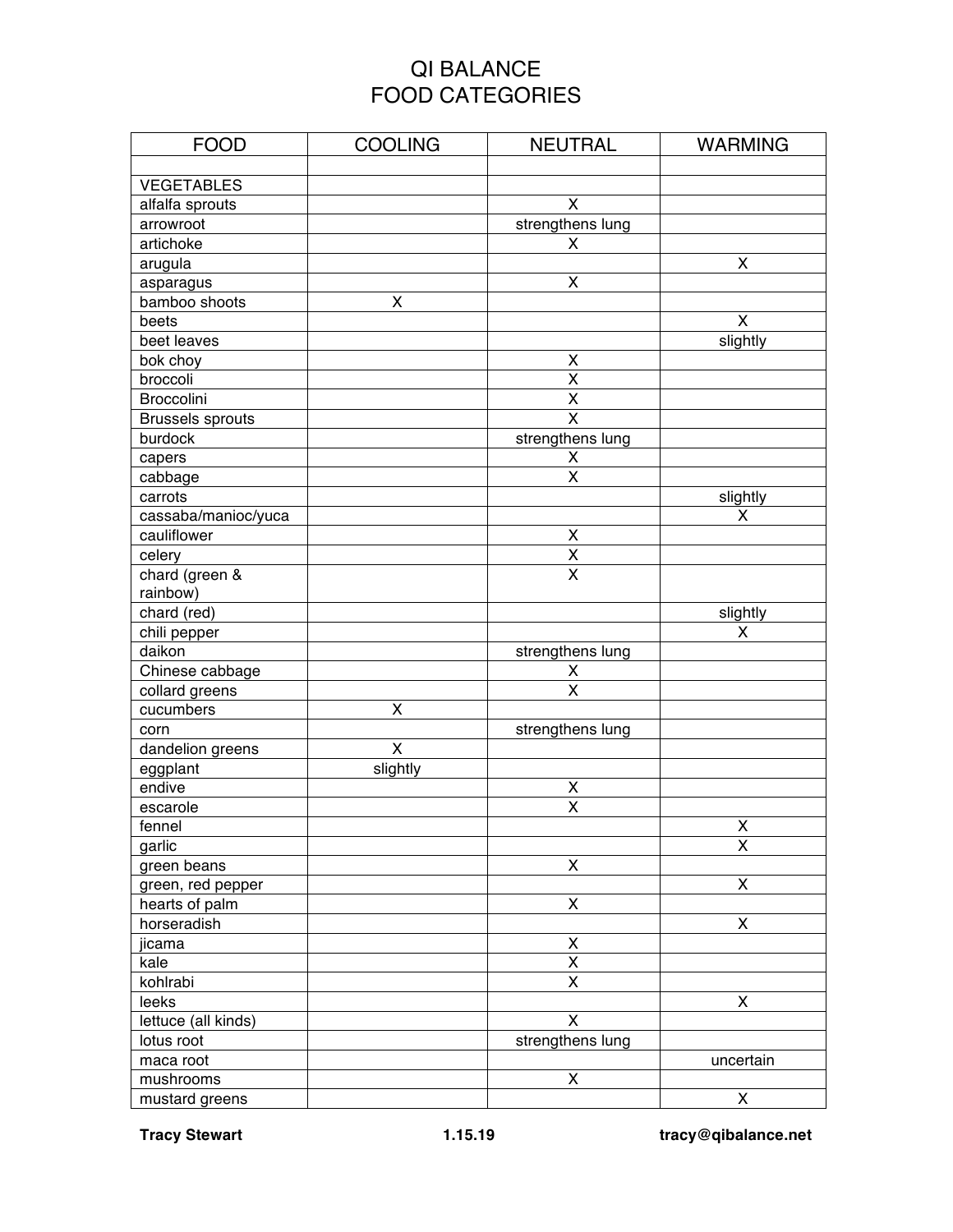## QI BALANCE FOOD CATEGORIES

| <b>FOOD</b>             | <b>COOLING</b>          | <b>NEUTRAL</b>          | <b>WARMING</b> |
|-------------------------|-------------------------|-------------------------|----------------|
|                         |                         |                         |                |
| <b>VEGETABLES</b>       |                         |                         |                |
| alfalfa sprouts         |                         | X                       |                |
| arrowroot               |                         | strengthens lung        |                |
| artichoke               |                         | X                       |                |
| arugula                 |                         |                         | X              |
| asparagus               |                         | X                       |                |
| bamboo shoots           | Χ                       |                         |                |
| beets                   |                         |                         | X              |
| beet leaves             |                         |                         | slightly       |
| bok choy                |                         | X                       |                |
| broccoli                |                         | $\overline{\mathsf{x}}$ |                |
| Broccolini              |                         | Χ                       |                |
| <b>Brussels sprouts</b> |                         | $\overline{\mathsf{x}}$ |                |
| burdock                 |                         | strengthens lung        |                |
| capers                  |                         | X                       |                |
| cabbage                 |                         | X                       |                |
| carrots                 |                         |                         | slightly       |
| cassaba/manioc/yuca     |                         |                         | x              |
| cauliflower             |                         | X                       |                |
| celery                  |                         | $\overline{\mathsf{x}}$ |                |
| chard (green &          |                         | $\overline{\mathsf{X}}$ |                |
| rainbow)                |                         |                         |                |
| chard (red)             |                         |                         | slightly       |
| chili pepper            |                         |                         | X              |
| daikon                  |                         | strengthens lung        |                |
| Chinese cabbage         |                         | X                       |                |
| collard greens          |                         | X                       |                |
| cucumbers               | $\overline{\mathsf{x}}$ |                         |                |
| corn                    |                         | strengthens lung        |                |
| dandelion greens        | $\mathsf{X}$            |                         |                |
| eggplant                | slightly                |                         |                |
| endive                  |                         | X                       |                |
| escarole                |                         | X                       |                |
| fennel                  |                         |                         | Χ              |
| garlic                  |                         |                         | Χ              |
| green beans             |                         | X                       |                |
| green, red pepper       |                         |                         | X              |
| hearts of palm          |                         | Χ                       |                |
| horseradish             |                         |                         | X              |
| jicama                  |                         | X                       |                |
| kale                    |                         | $\overline{\mathsf{X}}$ |                |
| kohlrabi                |                         | X                       |                |
| leeks                   |                         |                         | X              |
| lettuce (all kinds)     |                         | X                       |                |
| lotus root              |                         | strengthens lung        |                |
| maca root               |                         |                         | uncertain      |
| mushrooms               |                         | X                       |                |
| mustard greens          |                         |                         | X              |

**Tracy Stewart 1.15.19 tracy@qibalance.net**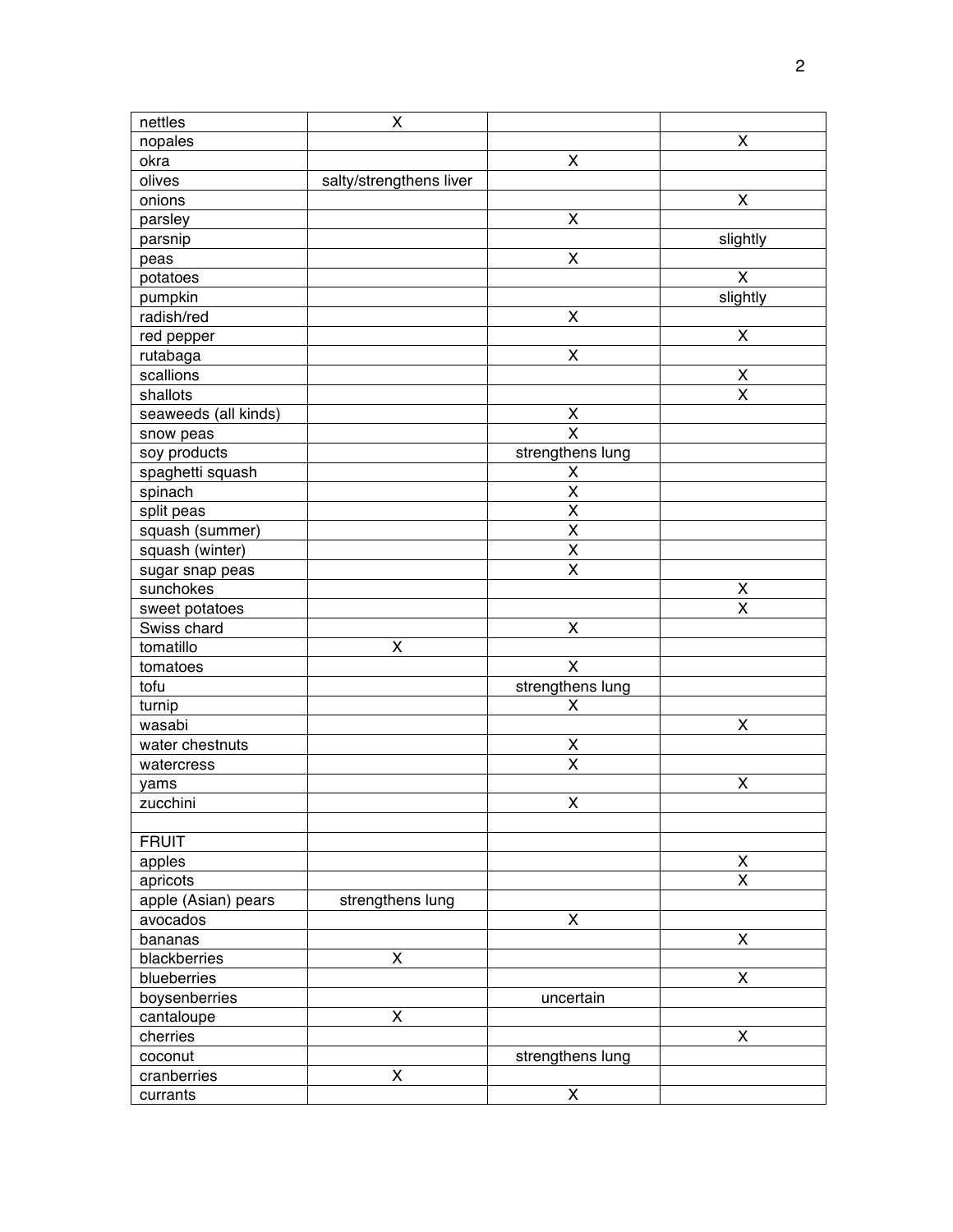| nettles              | X                       |                         |                             |
|----------------------|-------------------------|-------------------------|-----------------------------|
| nopales              |                         |                         | $\pmb{\mathsf{X}}$          |
| okra                 |                         | X                       |                             |
| olives               | salty/strengthens liver |                         |                             |
| onions               |                         |                         | X                           |
| parsley              |                         | Χ                       |                             |
| parsnip              |                         |                         | slightly                    |
| peas                 |                         | X                       |                             |
| potatoes             |                         |                         | X                           |
| pumpkin              |                         |                         | slightly                    |
| radish/red           |                         | X                       |                             |
| red pepper           |                         |                         | X                           |
| rutabaga             |                         | X                       |                             |
| scallions            |                         |                         | X                           |
| shallots             |                         |                         | X                           |
| seaweeds (all kinds) |                         | X                       |                             |
| snow peas            |                         | $\overline{\mathsf{x}}$ |                             |
| soy products         |                         | strengthens lung        |                             |
| spaghetti squash     |                         | X                       |                             |
| spinach              |                         | X                       |                             |
| split peas           |                         | X                       |                             |
| squash (summer)      |                         | X                       |                             |
| squash (winter)      |                         | Χ                       |                             |
| sugar snap peas      |                         | $\overline{\mathsf{x}}$ |                             |
| sunchokes            |                         |                         | X                           |
| sweet potatoes       |                         |                         | $\overline{\mathsf{x}}$     |
| Swiss chard          |                         | Χ                       |                             |
| tomatillo            | X                       |                         |                             |
| tomatoes             |                         | X                       |                             |
| tofu                 |                         |                         |                             |
| turnip               |                         | strengthens lung<br>X   |                             |
|                      |                         |                         | $\pmb{\times}$              |
| wasabi               |                         |                         |                             |
| water chestnuts      |                         | Χ<br>X                  |                             |
| watercress           |                         |                         |                             |
| yams                 |                         | X                       | X                           |
| zucchini             |                         |                         |                             |
| <b>FRUIT</b>         |                         |                         |                             |
|                      |                         |                         |                             |
| apples               |                         |                         | $\mathsf X$<br>$\mathsf{X}$ |
| apricots             |                         |                         |                             |
| apple (Asian) pears  | strengthens lung        |                         |                             |
| avocados             |                         | Χ                       |                             |
| bananas              |                         |                         | $\pmb{\times}$              |
| blackberries         | $\pmb{\mathsf{X}}$      |                         |                             |
| blueberries          |                         |                         | $\mathsf{x}$                |
| boysenberries        |                         | uncertain               |                             |
| cantaloupe           | X                       |                         |                             |
| cherries             |                         |                         | X                           |
| coconut              |                         | strengthens lung        |                             |
| cranberries          | $\pmb{\mathsf{X}}$      |                         |                             |
| currants             |                         | $\pmb{\mathsf{X}}$      |                             |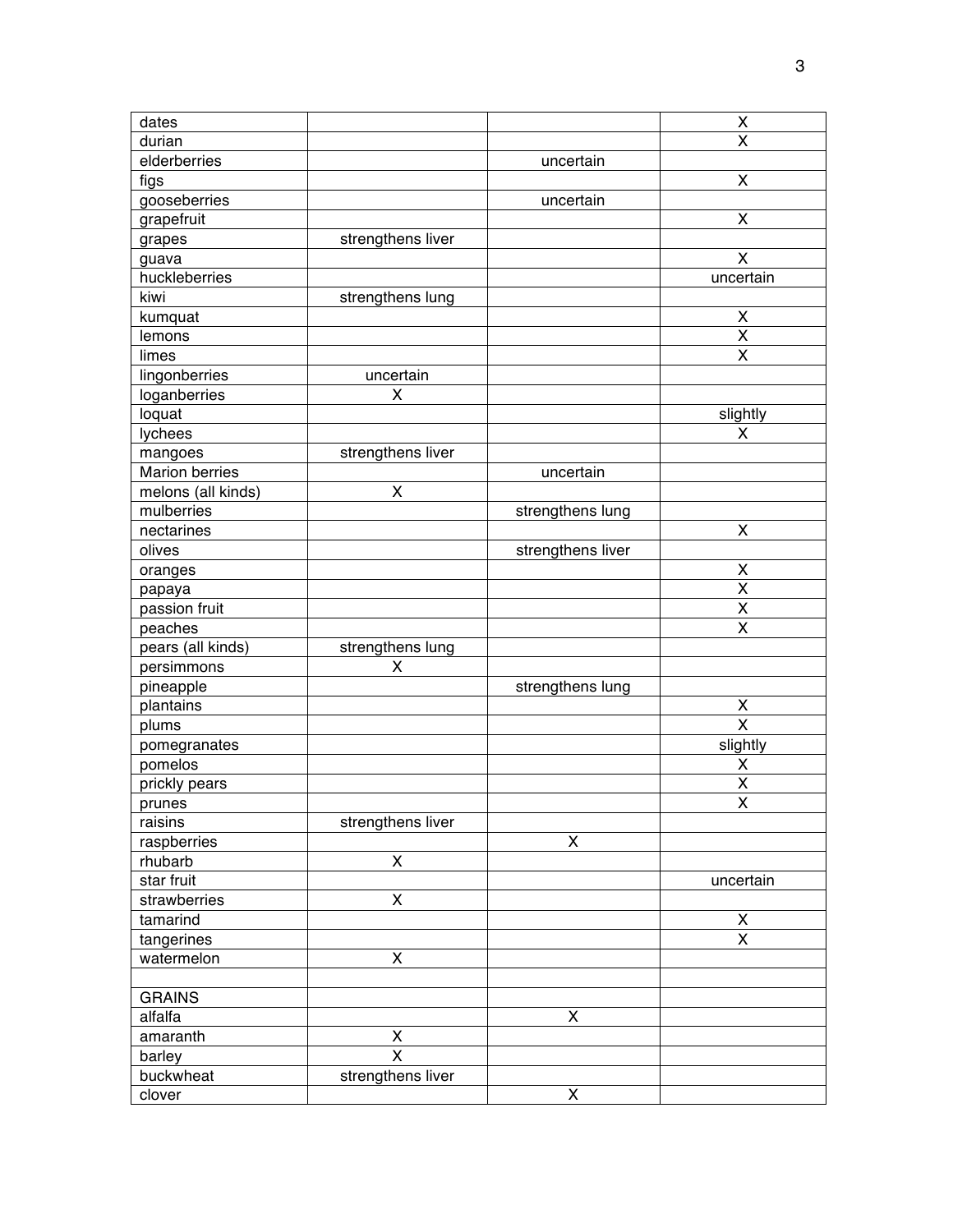| dates                 |                    |                   | X                                             |
|-----------------------|--------------------|-------------------|-----------------------------------------------|
| durian                |                    |                   | $\overline{\mathsf{x}}$                       |
| elderberries          |                    | uncertain         |                                               |
| figs                  |                    |                   | $\pmb{\mathsf{X}}$                            |
| gooseberries          |                    | uncertain         |                                               |
| grapefruit            |                    |                   | X                                             |
| grapes                | strengthens liver  |                   |                                               |
| guava                 |                    |                   | $\overline{\mathsf{X}}$                       |
| huckleberries         |                    |                   | uncertain                                     |
| kiwi                  | strengthens lung   |                   |                                               |
| kumquat               |                    |                   | X                                             |
| lemons                |                    |                   | $\overline{\mathsf{x}}$                       |
| limes                 |                    |                   | $\pmb{\mathsf{X}}$                            |
| lingonberries         | uncertain          |                   |                                               |
| loganberries          | Χ                  |                   |                                               |
| loquat                |                    |                   | slightly                                      |
| lychees               |                    |                   | X                                             |
| mangoes               | strengthens liver  |                   |                                               |
| <b>Marion berries</b> |                    | uncertain         |                                               |
| melons (all kinds)    | X                  |                   |                                               |
| mulberries            |                    | strengthens lung  |                                               |
| nectarines            |                    |                   | X                                             |
| olives                |                    |                   |                                               |
|                       |                    | strengthens liver |                                               |
| oranges               |                    |                   | $\pmb{\mathsf{X}}$                            |
| papaya                |                    |                   | $\pmb{\mathsf{X}}$<br>$\overline{\mathsf{x}}$ |
| passion fruit         |                    |                   | $\overline{\mathsf{x}}$                       |
| peaches               |                    |                   |                                               |
| pears (all kinds)     | strengthens lung   |                   |                                               |
| persimmons            | Χ                  |                   |                                               |
| pineapple             |                    | strengthens lung  |                                               |
| plantains             |                    |                   | X                                             |
| plums                 |                    |                   | $\overline{\mathsf{x}}$                       |
| pomegranates          |                    |                   | slightly                                      |
| pomelos               |                    |                   | Χ                                             |
| prickly pears         |                    |                   | X                                             |
| prunes                |                    |                   | $\overline{\mathsf{x}}$                       |
| raisins               | strengthens liver  |                   |                                               |
| raspberries           |                    | $\pmb{\times}$    |                                               |
| rhubarb               | $\pmb{\mathsf{X}}$ |                   |                                               |
| star fruit            |                    |                   | uncertain                                     |
| strawberries          | $\pmb{\mathsf{X}}$ |                   |                                               |
| tamarind              |                    |                   | $\pmb{\mathsf{X}}$                            |
| tangerines            |                    |                   | X                                             |
| watermelon            | X                  |                   |                                               |
|                       |                    |                   |                                               |
| <b>GRAINS</b>         |                    |                   |                                               |
| alfalfa               |                    | X                 |                                               |
| amaranth              | X                  |                   |                                               |
| barley                | X                  |                   |                                               |
| buckwheat             | strengthens liver  |                   |                                               |
| clover                |                    | X                 |                                               |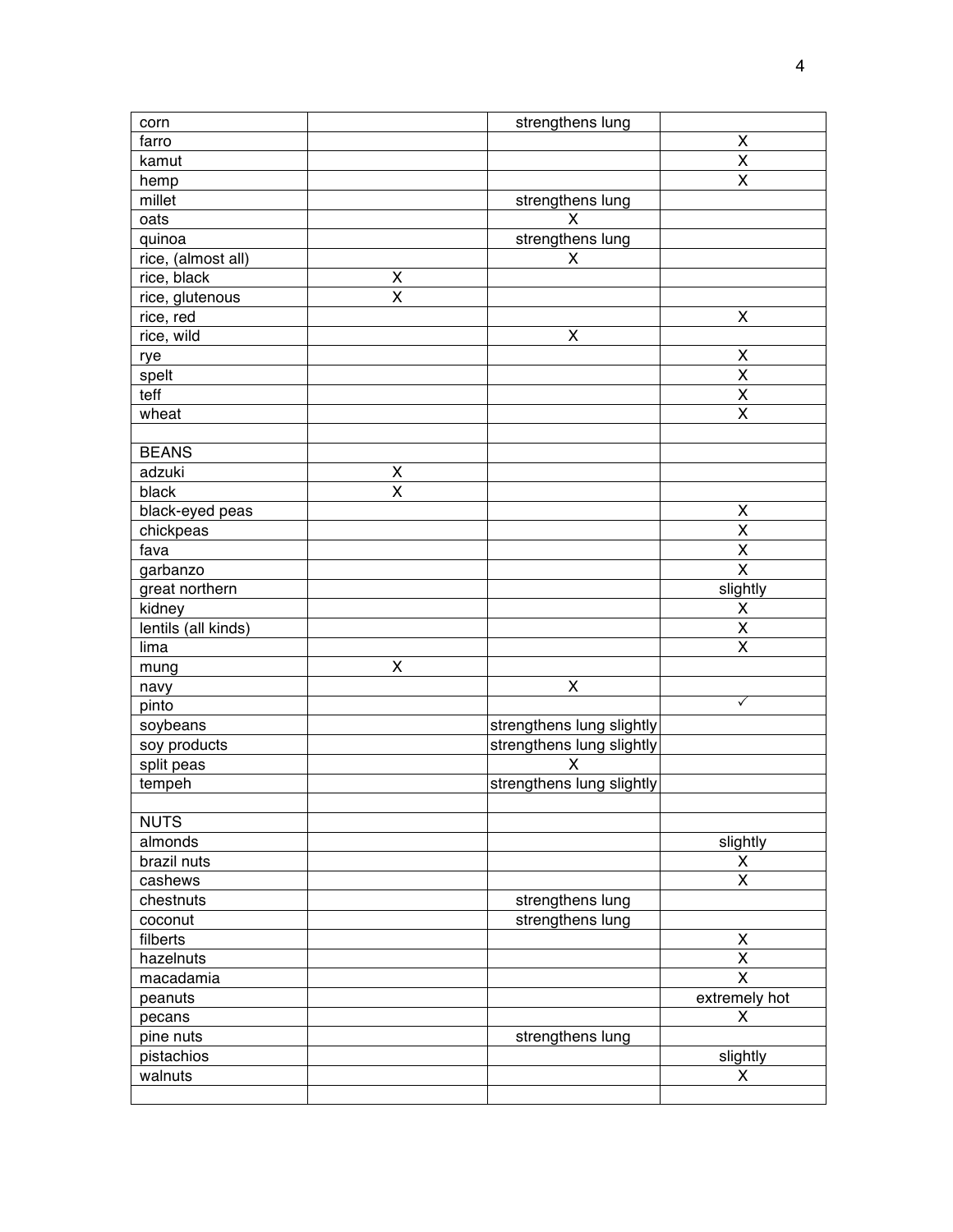| corn                |                         | strengthens lung          |                         |
|---------------------|-------------------------|---------------------------|-------------------------|
| farro               |                         |                           | $\pmb{\mathsf{X}}$      |
| kamut               |                         |                           | $\pmb{\mathsf{X}}$      |
| hemp                |                         |                           | $\overline{\mathsf{x}}$ |
| millet              |                         | strengthens lung          |                         |
| oats                |                         | X                         |                         |
| quinoa              |                         | strengthens lung          |                         |
| rice, (almost all)  |                         | X                         |                         |
| rice, black         | X                       |                           |                         |
| rice, glutenous     | X                       |                           |                         |
| rice, red           |                         |                           | $\pmb{\mathsf{X}}$      |
| rice, wild          |                         | X                         |                         |
|                     |                         |                           | X                       |
| rye                 |                         |                           | $\overline{\mathsf{x}}$ |
| spelt<br>teff       |                         |                           | $\overline{\mathsf{x}}$ |
|                     |                         |                           |                         |
| wheat               |                         |                           | X                       |
| <b>BEANS</b>        |                         |                           |                         |
| adzuki              | X                       |                           |                         |
| black               | $\overline{\mathsf{x}}$ |                           |                         |
| black-eyed peas     |                         |                           | X                       |
| chickpeas           |                         |                           | X                       |
| fava                |                         |                           | X                       |
| garbanzo            |                         |                           | $\overline{\mathsf{x}}$ |
| great northern      |                         |                           | slightly                |
| kidney              |                         |                           | Χ                       |
| lentils (all kinds) |                         |                           | $\overline{\mathsf{x}}$ |
| lima                |                         |                           | Χ                       |
| mung                | $\pmb{\mathsf{X}}$      |                           |                         |
| navy                |                         | X                         |                         |
| pinto               |                         |                           | ✓                       |
| soybeans            |                         | strengthens lung slightly |                         |
| soy products        |                         | strengthens lung slightly |                         |
| split peas          |                         | X                         |                         |
| tempeh              |                         | strengthens lung slightly |                         |
|                     |                         |                           |                         |
| <b>NUTS</b>         |                         |                           |                         |
| almonds             |                         |                           | slightly                |
| brazil nuts         |                         |                           | X                       |
| cashews             |                         |                           | X                       |
| chestnuts           |                         | strengthens lung          |                         |
| coconut             |                         | strengthens lung          |                         |
| filberts            |                         |                           | Χ                       |
| hazelnuts           |                         |                           | $\pmb{\mathsf{X}}$      |
| macadamia           |                         |                           | $\overline{\mathsf{x}}$ |
| peanuts             |                         |                           | extremely hot           |
| pecans              |                         |                           | X                       |
| pine nuts           |                         | strengthens lung          |                         |
| pistachios          |                         |                           | slightly                |
| walnuts             |                         |                           | X                       |
|                     |                         |                           |                         |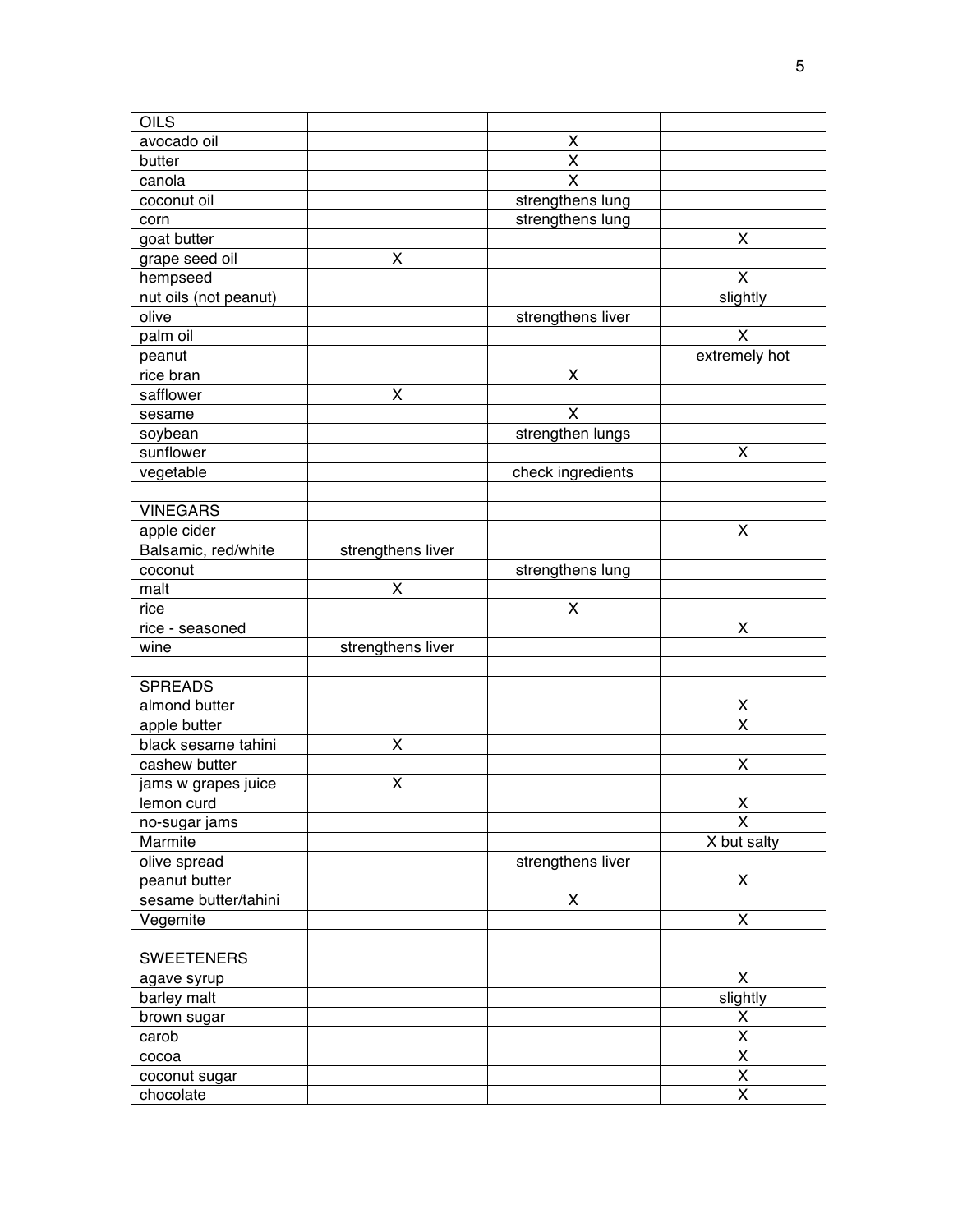| OILS                                |                         |                         |                           |
|-------------------------------------|-------------------------|-------------------------|---------------------------|
| avocado oil                         |                         | Χ                       |                           |
| butter                              |                         | Χ                       |                           |
| canola                              |                         | $\overline{\mathsf{x}}$ |                           |
| coconut oil                         |                         | strengthens lung        |                           |
| corn                                |                         | strengthens lung        |                           |
| goat butter                         |                         |                         | X                         |
| grape seed oil                      | X                       |                         |                           |
| hempseed                            |                         |                         | X                         |
| nut oils (not peanut)               |                         |                         | slightly                  |
| olive                               |                         | strengthens liver       |                           |
| palm oil                            |                         |                         | X                         |
| peanut                              |                         |                         | extremely hot             |
| rice bran                           |                         | Χ                       |                           |
| safflower                           | X                       |                         |                           |
| sesame                              |                         | X                       |                           |
| soybean                             |                         | strengthen lungs        |                           |
| sunflower                           |                         |                         | X                         |
| vegetable                           |                         | check ingredients       |                           |
|                                     |                         |                         |                           |
| <b>VINEGARS</b>                     |                         |                         |                           |
| apple cider                         |                         |                         | $\pmb{\mathsf{X}}$        |
| Balsamic, red/white                 | strengthens liver       |                         |                           |
| coconut                             |                         | strengthens lung        |                           |
| malt                                | X                       |                         |                           |
| rice                                |                         | X                       |                           |
| rice - seasoned                     |                         |                         | $\pmb{\mathsf{X}}$        |
| wine                                | strengthens liver       |                         |                           |
|                                     |                         |                         |                           |
| <b>SPREADS</b>                      |                         |                         |                           |
| almond butter                       |                         |                         | X                         |
|                                     |                         |                         | X                         |
| apple butter<br>black sesame tahini | $\overline{\mathsf{x}}$ |                         |                           |
| cashew butter                       |                         |                         | X                         |
|                                     | X                       |                         |                           |
| jams w grapes juice                 |                         |                         | $\pmb{\mathsf{X}}$        |
| lemon curd                          |                         |                         |                           |
| no-sugar jams<br>Marmite            |                         |                         | X<br>X but salty          |
|                                     |                         |                         |                           |
| olive spread                        |                         | strengthens liver       |                           |
| peanut butter                       |                         |                         | X                         |
| sesame butter/tahini                |                         | X                       |                           |
| Vegemite                            |                         |                         | $\pmb{\mathsf{X}}$        |
|                                     |                         |                         |                           |
| <b>SWEETENERS</b>                   |                         |                         |                           |
| agave syrup                         |                         |                         | $\boldsymbol{\mathsf{X}}$ |
| barley malt                         |                         |                         | slightly                  |
| brown sugar                         |                         |                         | Χ                         |
| carob                               |                         |                         | $\overline{\mathsf{x}}$   |
| cocoa                               |                         |                         | $\overline{\mathsf{x}}$   |
| coconut sugar                       |                         |                         | $\underline{X}$           |
| chocolate                           |                         |                         | $\overline{\mathsf{x}}$   |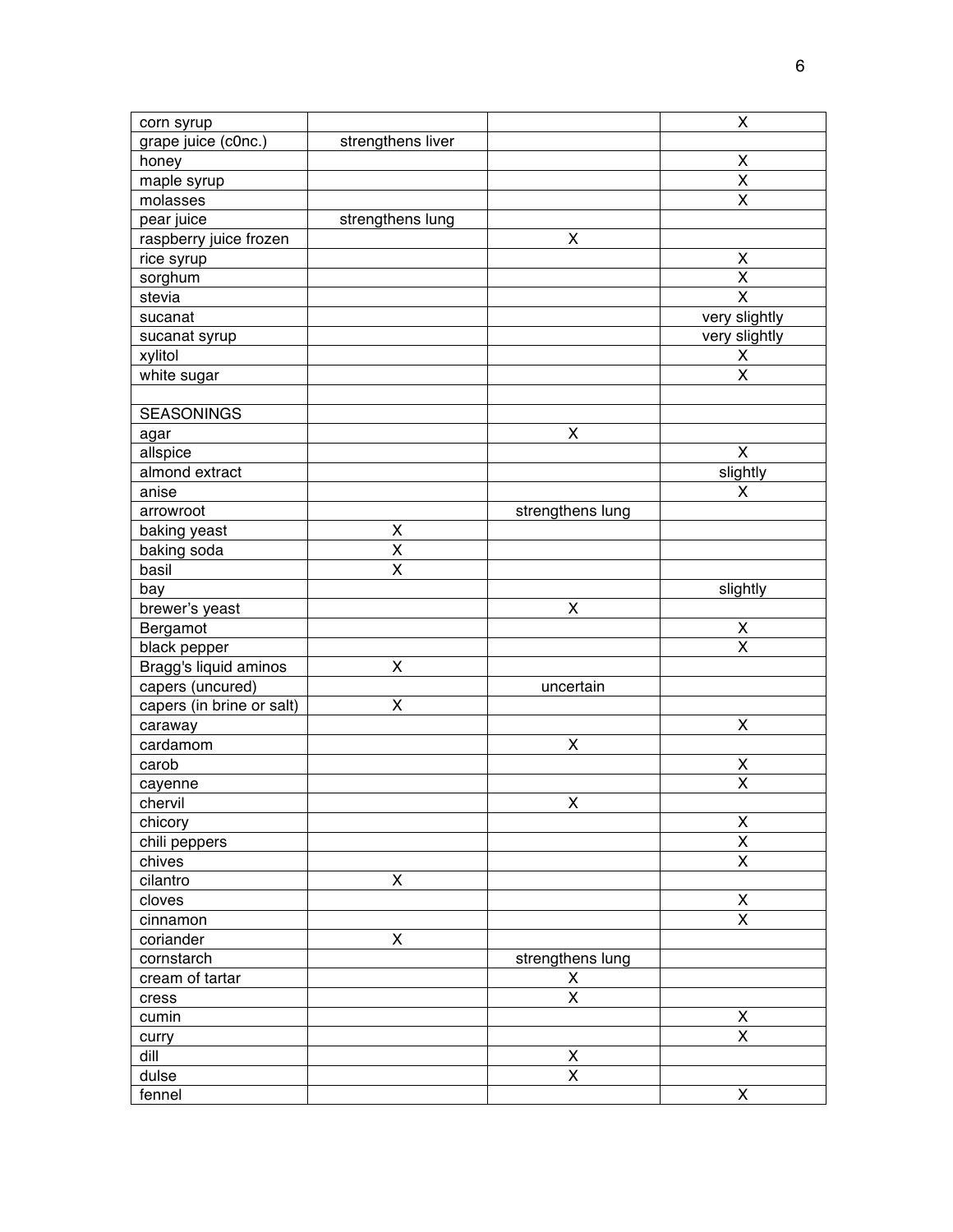| corn syrup                |                         |                    | X                                                  |
|---------------------------|-------------------------|--------------------|----------------------------------------------------|
| grape juice (c0nc.)       | strengthens liver       |                    |                                                    |
| honey                     |                         |                    | Χ                                                  |
| maple syrup               |                         |                    | $\overline{\mathsf{x}}$                            |
| molasses                  |                         |                    | X                                                  |
| pear juice                | strengthens lung        |                    |                                                    |
| raspberry juice frozen    |                         | X                  |                                                    |
| rice syrup                |                         |                    | $\mathsf{X}$                                       |
| sorghum                   |                         |                    | X                                                  |
| stevia                    |                         |                    | $\mathsf{X}$                                       |
| sucanat                   |                         |                    | very slightly                                      |
| sucanat syrup             |                         |                    | very slightly                                      |
| xylitol                   |                         |                    | X                                                  |
| white sugar               |                         |                    | $\overline{\mathsf{x}}$                            |
|                           |                         |                    |                                                    |
| <b>SEASONINGS</b>         |                         |                    |                                                    |
| agar                      |                         | X                  |                                                    |
| allspice                  |                         |                    | X                                                  |
| almond extract            |                         |                    | slightly                                           |
| anise                     |                         |                    | X                                                  |
| arrowroot                 |                         | strengthens lung   |                                                    |
| baking yeast              | $\pmb{\mathsf{X}}$      |                    |                                                    |
| baking soda               | X                       |                    |                                                    |
| basil                     | $\overline{\mathsf{x}}$ |                    |                                                    |
| bay                       |                         |                    | slightly                                           |
| brewer's yeast            |                         | X                  |                                                    |
| Bergamot                  |                         |                    | X                                                  |
| black pepper              |                         |                    | X                                                  |
| Bragg's liquid aminos     | X                       |                    |                                                    |
| capers (uncured)          |                         | uncertain          |                                                    |
| capers (in brine or salt) | X                       |                    |                                                    |
|                           |                         |                    | $\pmb{\mathsf{X}}$                                 |
| caraway                   |                         | $\pmb{\mathsf{X}}$ |                                                    |
| cardamom                  |                         |                    |                                                    |
| carob                     |                         |                    | X                                                  |
| cayenne                   |                         |                    | X                                                  |
| chervil                   |                         | $\pmb{\mathsf{X}}$ |                                                    |
| chicory                   |                         |                    | $\overline{\mathsf{X}}$<br>$\overline{\mathsf{x}}$ |
| chili peppers             |                         |                    | $\overline{\mathsf{x}}$                            |
| chives                    |                         |                    |                                                    |
| cilantro                  | Χ                       |                    |                                                    |
| cloves                    |                         |                    | X                                                  |
| cinnamon                  |                         |                    | $\overline{\mathsf{x}}$                            |
| coriander                 | X                       |                    |                                                    |
| cornstarch                |                         | strengthens lung   |                                                    |
| cream of tartar           |                         | X                  |                                                    |
| cress                     |                         | $\pmb{\mathsf{X}}$ |                                                    |
| cumin                     |                         |                    | $\pmb{\mathsf{X}}$                                 |
| curry                     |                         |                    | $\overline{\mathsf{x}}$                            |
| dill                      |                         | X                  |                                                    |
| dulse                     |                         | $\pmb{\mathsf{X}}$ |                                                    |
| fennel                    |                         |                    | $\pmb{\mathsf{X}}$                                 |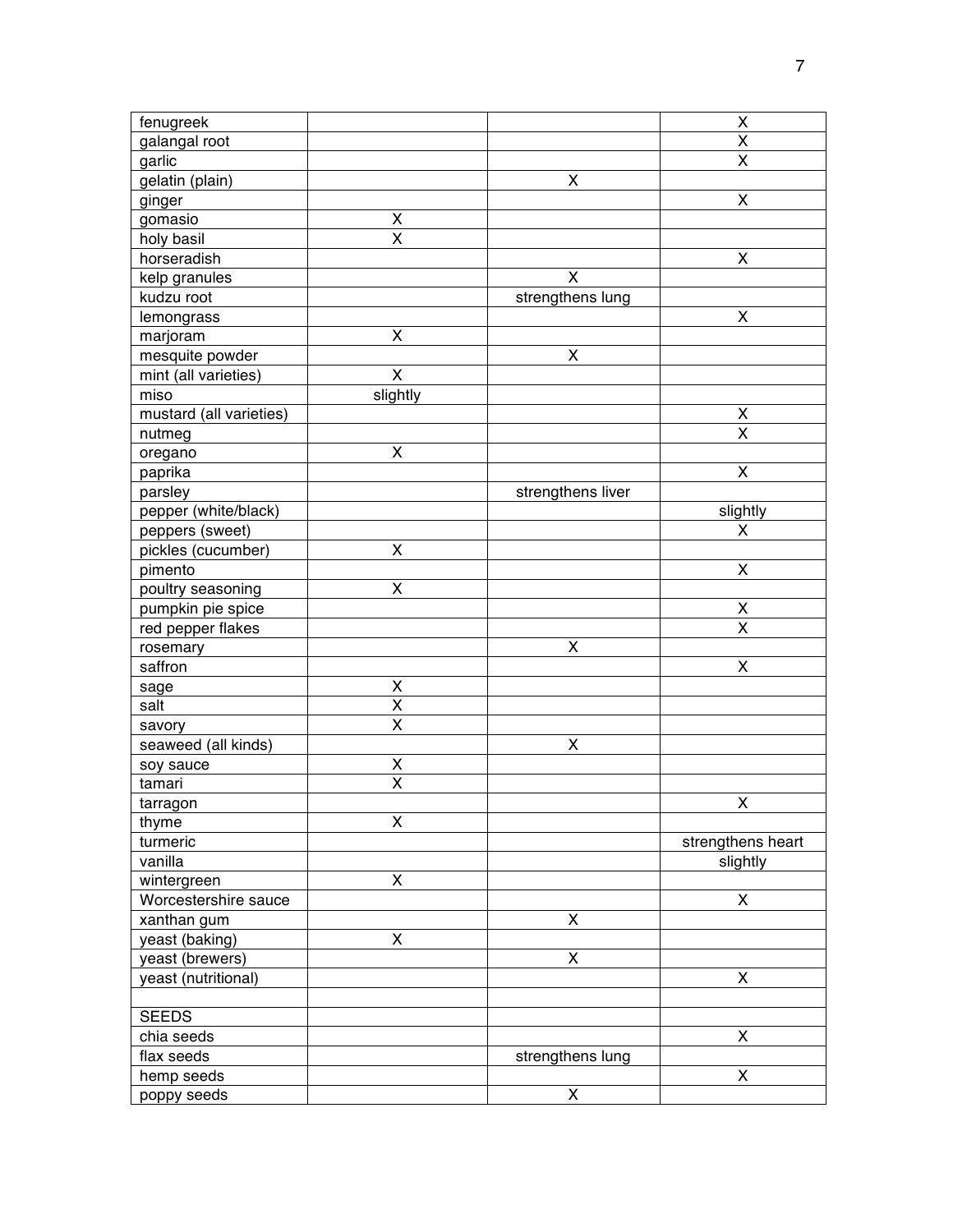| fenugreek                     |                         |                         | Χ                       |
|-------------------------------|-------------------------|-------------------------|-------------------------|
| galangal root                 |                         |                         | Χ                       |
| garlic                        |                         |                         | $\overline{\mathsf{x}}$ |
| gelatin (plain)               |                         | X                       |                         |
| ginger                        |                         |                         | X                       |
| gomasio                       | X                       |                         |                         |
| holy basil                    | $\overline{\mathsf{x}}$ |                         |                         |
| horseradish                   |                         |                         | $\pmb{\mathsf{X}}$      |
| kelp granules                 |                         | $\overline{\mathsf{x}}$ |                         |
| kudzu root                    |                         | strengthens lung        |                         |
| lemongrass                    |                         |                         | X                       |
| marjoram                      | X                       |                         |                         |
| mesquite powder               |                         | X                       |                         |
| mint (all varieties)          | Χ                       |                         |                         |
| miso                          | slightly                |                         |                         |
| mustard (all varieties)       |                         |                         | X                       |
| nutmeg                        |                         |                         | X                       |
| oregano                       | $\pmb{\mathsf{X}}$      |                         |                         |
| paprika                       |                         |                         | $\pmb{\mathsf{X}}$      |
| parsley                       |                         | strengthens liver       |                         |
| pepper (white/black)          |                         |                         | slightly                |
| peppers (sweet)               |                         |                         | X                       |
| pickles (cucumber)            | X                       |                         |                         |
| pimento                       |                         |                         | X                       |
| poultry seasoning             | $\mathsf{X}$            |                         |                         |
| pumpkin pie spice             |                         |                         | Χ                       |
| red pepper flakes             |                         |                         | X                       |
| rosemary                      |                         | X                       |                         |
| saffron                       |                         |                         | X                       |
|                               | X                       |                         |                         |
| sage<br>salt                  | $\overline{\mathsf{x}}$ |                         |                         |
|                               | X                       |                         |                         |
| savory<br>seaweed (all kinds) |                         | X                       |                         |
| soy sauce                     | X                       |                         |                         |
| tamari                        | X                       |                         |                         |
|                               |                         |                         | X                       |
| tarragon<br>thyme             | X                       |                         |                         |
| turmeric                      |                         |                         | strengthens heart       |
| vanilla                       |                         |                         | slightly                |
| wintergreen                   | $\pmb{\mathsf{X}}$      |                         |                         |
| Worcestershire sauce          |                         |                         | X                       |
| xanthan gum                   |                         | $\pmb{\mathsf{X}}$      |                         |
|                               | $\pmb{\mathsf{X}}$      |                         |                         |
| yeast (baking)                |                         | $\overline{\mathsf{x}}$ |                         |
| yeast (brewers)               |                         |                         | X                       |
| yeast (nutritional)           |                         |                         |                         |
|                               |                         |                         |                         |
| <b>SEEDS</b>                  |                         |                         | X                       |
| chia seeds<br>flax seeds      |                         |                         |                         |
|                               |                         | strengthens lung        |                         |
| hemp seeds                    |                         |                         | X                       |
| poppy seeds                   |                         | X                       |                         |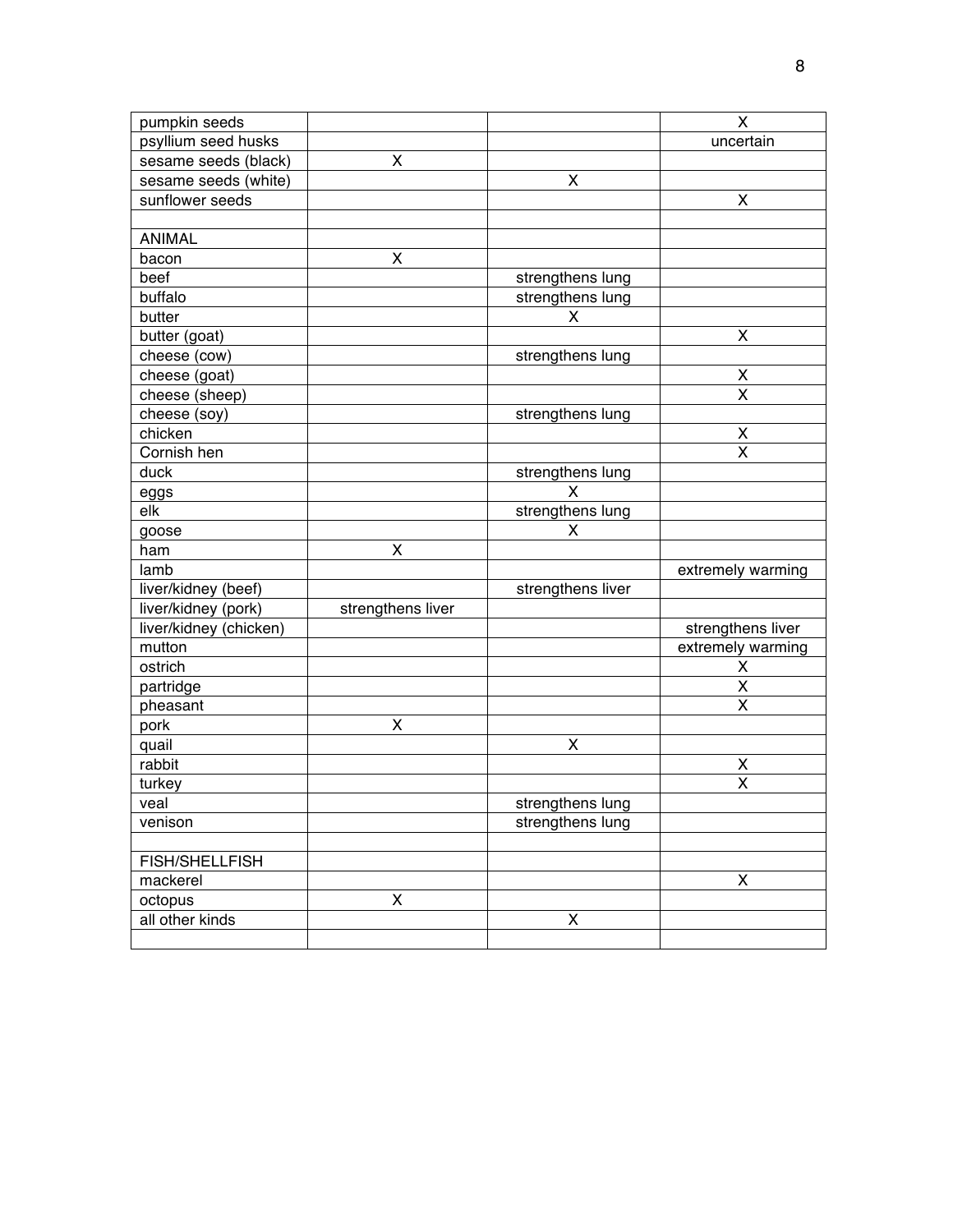| pumpkin seeds          |                   |                    | X                  |
|------------------------|-------------------|--------------------|--------------------|
| psyllium seed husks    |                   |                    | uncertain          |
| sesame seeds (black)   | X                 |                    |                    |
| sesame seeds (white)   |                   | X                  |                    |
| sunflower seeds        |                   |                    | X                  |
|                        |                   |                    |                    |
| <b>ANIMAL</b>          |                   |                    |                    |
| bacon                  | X                 |                    |                    |
| beef                   |                   | strengthens lung   |                    |
| buffalo                |                   | strengthens lung   |                    |
| butter                 |                   | X                  |                    |
| butter (goat)          |                   |                    | X                  |
| cheese (cow)           |                   | strengthens lung   |                    |
| cheese (goat)          |                   |                    | X                  |
| cheese (sheep)         |                   |                    | X                  |
| cheese (soy)           |                   | strengthens lung   |                    |
| chicken                |                   |                    | X                  |
| Cornish hen            |                   |                    | X                  |
| duck                   |                   | strengthens lung   |                    |
| eggs                   |                   | X                  |                    |
| elk                    |                   | strengthens lung   |                    |
| goose                  |                   | X                  |                    |
| ham                    | X                 |                    |                    |
| lamb                   |                   |                    | extremely warming  |
| liver/kidney (beef)    |                   | strengthens liver  |                    |
| liver/kidney (pork)    | strengthens liver |                    |                    |
| liver/kidney (chicken) |                   |                    | strengthens liver  |
| mutton                 |                   |                    | extremely warming  |
| ostrich                |                   |                    | X                  |
| partridge              |                   |                    | X                  |
| pheasant               |                   |                    | X                  |
| pork                   | X                 |                    |                    |
| quail                  |                   | X                  |                    |
| rabbit                 |                   |                    | X                  |
| turkey                 |                   |                    | X                  |
| veal                   |                   | strengthens lung   |                    |
| venison                |                   | strengthens lung   |                    |
|                        |                   |                    |                    |
| <b>FISH/SHELLFISH</b>  |                   |                    |                    |
| mackerel               |                   |                    | $\pmb{\mathsf{X}}$ |
| octopus                | X                 |                    |                    |
| all other kinds        |                   | $\pmb{\mathsf{X}}$ |                    |
|                        |                   |                    |                    |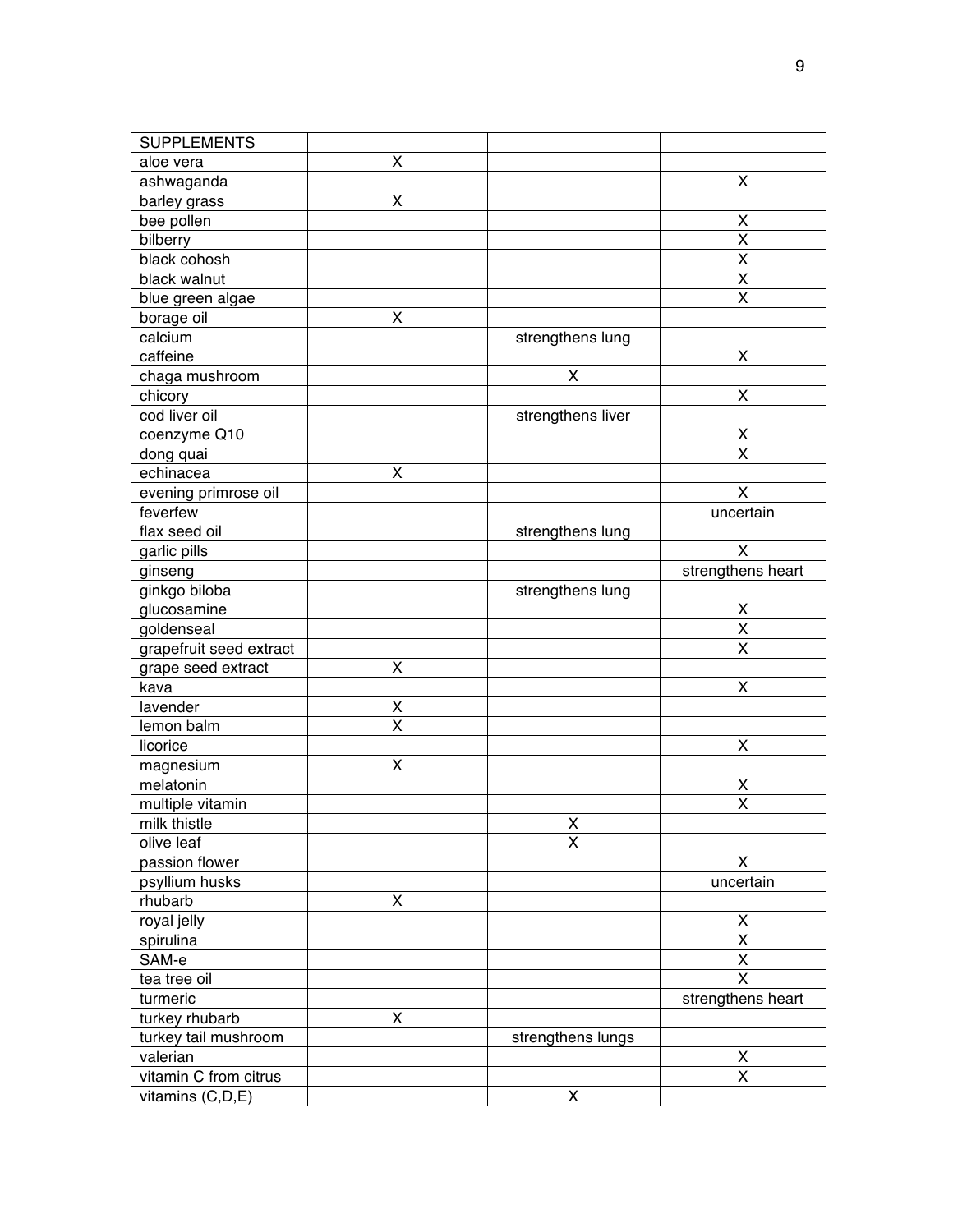| <b>SUPPLEMENTS</b>      |                    |                    |                         |
|-------------------------|--------------------|--------------------|-------------------------|
| aloe vera               | X                  |                    |                         |
| ashwaganda              |                    |                    | X                       |
| barley grass            | $\pmb{\mathsf{X}}$ |                    |                         |
| bee pollen              |                    |                    | X                       |
| bilberry                |                    |                    | $\overline{\mathsf{x}}$ |
| black cohosh            |                    |                    | X                       |
| black walnut            |                    |                    | $\overline{\mathsf{x}}$ |
| blue green algae        |                    |                    | X                       |
| borage oil              | X                  |                    |                         |
| calcium                 |                    | strengthens lung   |                         |
| caffeine                |                    |                    | X                       |
| chaga mushroom          |                    | X                  |                         |
| chicory                 |                    |                    | X                       |
| cod liver oil           |                    | strengthens liver  |                         |
| coenzyme Q10            |                    |                    | X                       |
| dong quai               |                    |                    | X                       |
| echinacea               | X                  |                    |                         |
| evening primrose oil    |                    |                    | X                       |
| feverfew                |                    |                    | uncertain               |
| flax seed oil           |                    | strengthens lung   |                         |
| garlic pills            |                    |                    | X                       |
|                         |                    |                    | strengthens heart       |
| ginseng                 |                    |                    |                         |
| ginkgo biloba           |                    | strengthens lung   |                         |
| glucosamine             |                    |                    | X<br>X                  |
| goldenseal              |                    |                    | $\overline{\mathsf{x}}$ |
| grapefruit seed extract |                    |                    |                         |
| grape seed extract      | X                  |                    |                         |
| kava                    |                    |                    | X                       |
| lavender                | X                  |                    |                         |
| lemon balm              | X                  |                    |                         |
| licorice                |                    |                    | X                       |
| magnesium               | $\mathsf{X}$       |                    |                         |
| melatonin               |                    |                    | X                       |
| multiple vitamin        |                    |                    | X                       |
| milk thistle            |                    | $\mathsf{X}% _{0}$ |                         |
| olive leaf              |                    | X                  |                         |
| passion flower          |                    |                    | X                       |
| psyllium husks          |                    |                    | uncertain               |
| rhubarb                 | X                  |                    |                         |
| royal jelly             |                    |                    | Χ                       |
| spirulina               |                    |                    | $\overline{\mathsf{x}}$ |
| SAM-e                   |                    |                    | $\pmb{\mathsf{X}}$      |
| tea tree oil            |                    |                    | X                       |
| turmeric                |                    |                    | strengthens heart       |
| turkey rhubarb          | X                  |                    |                         |
| turkey tail mushroom    |                    | strengthens lungs  |                         |
| valerian                |                    |                    | X                       |
| vitamin C from citrus   |                    |                    | X                       |
| vitamins (C,D,E)        |                    | X                  |                         |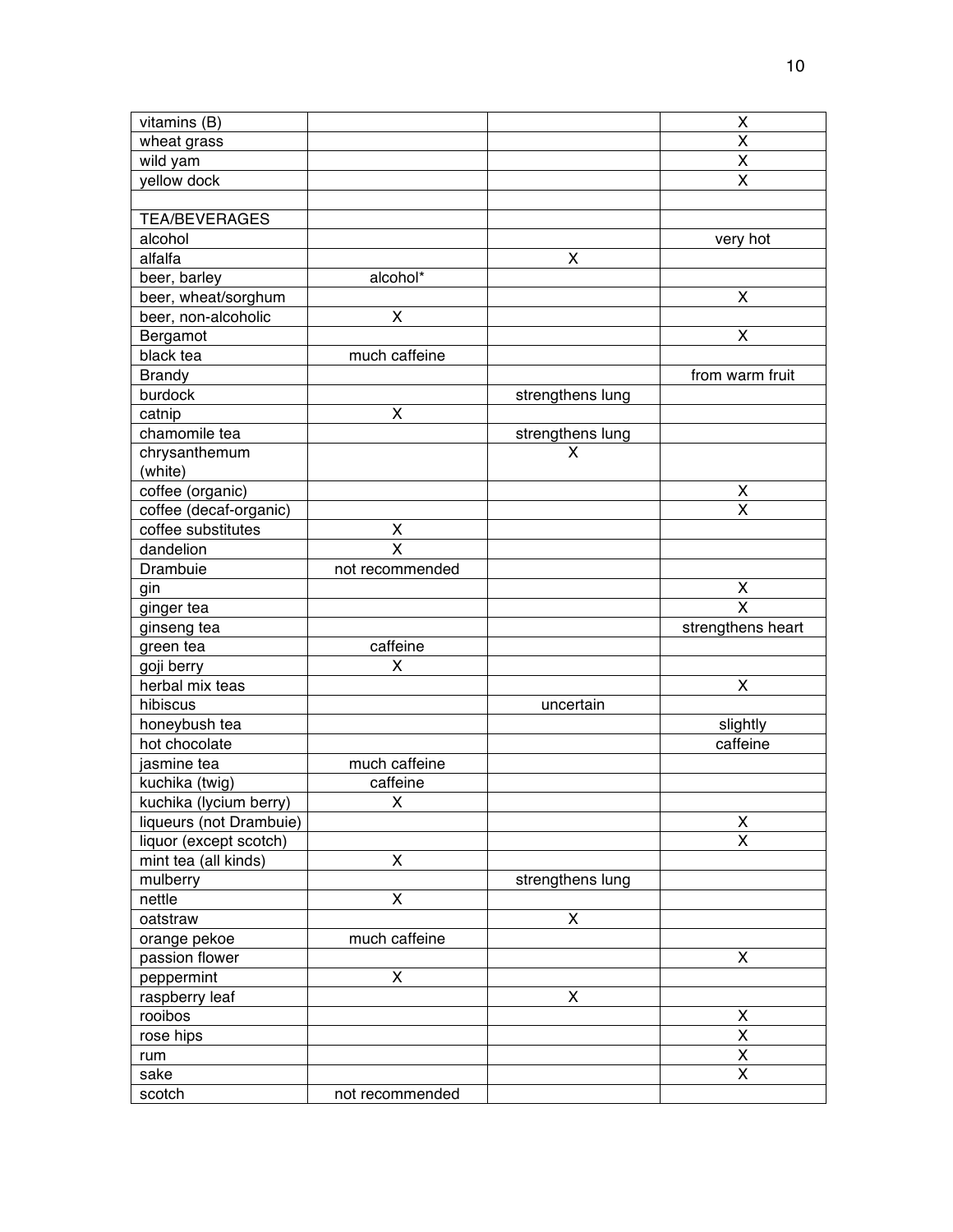| vitamins (B)            |                         |                  | X                                                  |
|-------------------------|-------------------------|------------------|----------------------------------------------------|
| wheat grass             |                         |                  | $\overline{\mathsf{x}}$                            |
| wild yam                |                         |                  | $\overline{\mathsf{X}}$                            |
| yellow dock             |                         |                  | $\overline{\mathsf{x}}$                            |
|                         |                         |                  |                                                    |
| <b>TEA/BEVERAGES</b>    |                         |                  |                                                    |
| alcohol                 |                         |                  | very hot                                           |
| alfalfa                 |                         | X                |                                                    |
| beer, barley            | alcohol*                |                  |                                                    |
| beer, wheat/sorghum     |                         |                  | $\pmb{\mathsf{X}}$                                 |
| beer, non-alcoholic     | $\pmb{\mathsf{X}}$      |                  |                                                    |
| Bergamot                |                         |                  | X                                                  |
| black tea               | much caffeine           |                  |                                                    |
| <b>Brandy</b>           |                         |                  | from warm fruit                                    |
| burdock                 |                         | strengthens lung |                                                    |
| catnip                  | X                       |                  |                                                    |
| chamomile tea           |                         | strengthens lung |                                                    |
| chrysanthemum           |                         | X                |                                                    |
| (white)                 |                         |                  |                                                    |
| coffee (organic)        |                         |                  | X                                                  |
| coffee (decaf-organic)  |                         |                  | $\overline{\mathsf{x}}$                            |
| coffee substitutes      | X                       |                  |                                                    |
| dandelion               | $\overline{\mathsf{x}}$ |                  |                                                    |
| Drambuie                | not recommended         |                  |                                                    |
| gin                     |                         |                  |                                                    |
|                         |                         |                  | $\overline{\mathsf{X}}$<br>$\overline{\mathsf{x}}$ |
| ginger tea              |                         |                  | strengthens heart                                  |
| ginseng tea             | caffeine                |                  |                                                    |
| green tea               |                         |                  |                                                    |
| goji berry              | X                       |                  |                                                    |
| herbal mix teas         |                         |                  | $\pmb{\mathsf{X}}$                                 |
|                         |                         |                  |                                                    |
| hibiscus                |                         | uncertain        |                                                    |
| honeybush tea           |                         |                  | slightly                                           |
| hot chocolate           |                         |                  | caffeine                                           |
| jasmine tea             | much caffeine           |                  |                                                    |
| kuchika (twig)          | caffeine                |                  |                                                    |
| kuchika (lycium berry)  | X                       |                  |                                                    |
| liqueurs (not Drambuie) |                         |                  | $\overline{\mathsf{X}}$                            |
| liquor (except scotch)  |                         |                  | $\overline{\mathsf{x}}$                            |
| mint tea (all kinds)    | $\pmb{\mathsf{X}}$      |                  |                                                    |
| mulberry                |                         | strengthens lung |                                                    |
| nettle                  | X                       |                  |                                                    |
| oatstraw                |                         | X                |                                                    |
| orange pekoe            | much caffeine           |                  |                                                    |
| passion flower          |                         |                  | $\pmb{\mathsf{X}}$                                 |
| peppermint              | $\pmb{\mathsf{X}}$      |                  |                                                    |
| raspberry leaf          |                         | X                |                                                    |
| rooibos                 |                         |                  | X                                                  |
| rose hips               |                         |                  | Χ                                                  |
| rum                     |                         |                  | $\overline{\mathsf{x}}$                            |
| sake<br>scotch          | not recommended         |                  | $\overline{\mathsf{x}}$                            |